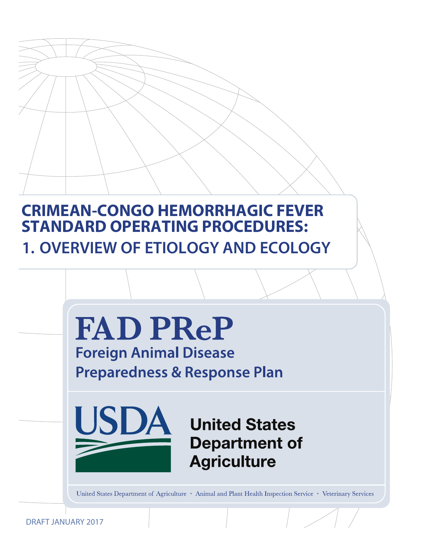# **CRIMEAN-CONGO HEMORRHAGIC FEVER STANDARD OPERATING PROCEDURES: 1. OVERVIEW OF ETIOLOGY AND ECOLOGY**



DRAFT JANUARY 2017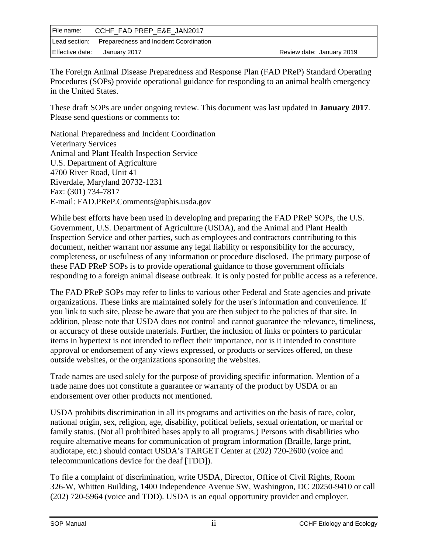| File name:      | CCHF FAD PREP E&E JAN2017                            |                           |
|-----------------|------------------------------------------------------|---------------------------|
|                 | Lead section: Preparedness and Incident Coordination |                           |
| Effective date: | January 2017                                         | Review date: January 2019 |

The Foreign Animal Disease Preparedness and Response Plan (FAD PReP) Standard Operating Procedures (SOPs) provide operational guidance for responding to an animal health emergency in the United States.

These draft SOPs are under ongoing review. This document was last updated in **January 2017**. Please send questions or comments to:

National Preparedness and Incident Coordination Veterinary Services Animal and Plant Health Inspection Service U.S. Department of Agriculture 4700 River Road, Unit 41 Riverdale, Maryland 20732-1231 Fax: (301) 734-7817 E-mail: [FAD.PReP.Comments@aphis.usda.gov](mailto:FAD.PReP.Comments@aphis.usda.gov)

While best efforts have been used in developing and preparing the FAD PReP SOPs, the U.S. Government, U.S. Department of Agriculture (USDA), and the Animal and Plant Health Inspection Service and other parties, such as employees and contractors contributing to this document, neither warrant nor assume any legal liability or responsibility for the accuracy, completeness, or usefulness of any information or procedure disclosed. The primary purpose of these FAD PReP SOPs is to provide operational guidance to those government officials responding to a foreign animal disease outbreak. It is only posted for public access as a reference.

The FAD PReP SOPs may refer to links to various other Federal and State agencies and private organizations. These links are maintained solely for the user's information and convenience. If you link to such site, please be aware that you are then subject to the policies of that site. In addition, please note that USDA does not control and cannot guarantee the relevance, timeliness, or accuracy of these outside materials. Further, the inclusion of links or pointers to particular items in hypertext is not intended to reflect their importance, nor is it intended to constitute approval or endorsement of any views expressed, or products or services offered, on these outside websites, or the organizations sponsoring the websites.

Trade names are used solely for the purpose of providing specific information. Mention of a trade name does not constitute a guarantee or warranty of the product by USDA or an endorsement over other products not mentioned.

USDA prohibits discrimination in all its programs and activities on the basis of race, color, national origin, sex, religion, age, disability, political beliefs, sexual orientation, or marital or family status. (Not all prohibited bases apply to all programs.) Persons with disabilities who require alternative means for communication of program information (Braille, large print, audiotape, etc.) should contact USDA's TARGET Center at (202) 720-2600 (voice and telecommunications device for the deaf [TDD]).

To file a complaint of discrimination, write USDA, Director, Office of Civil Rights, Room 326-W, Whitten Building, 1400 Independence Avenue SW, Washington, DC 20250-9410 or call (202) 720-5964 (voice and TDD). USDA is an equal opportunity provider and employer.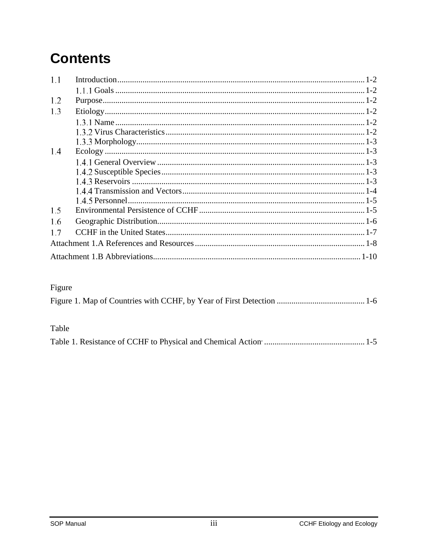# **Contents**

| 1.1 |  |
|-----|--|
|     |  |
| 1.2 |  |
| 1.3 |  |
|     |  |
|     |  |
|     |  |
| 1.4 |  |
|     |  |
|     |  |
|     |  |
|     |  |
|     |  |
| 1.5 |  |
| 1.6 |  |
| 1.7 |  |
|     |  |
|     |  |

## Figure

### Table

|--|--|--|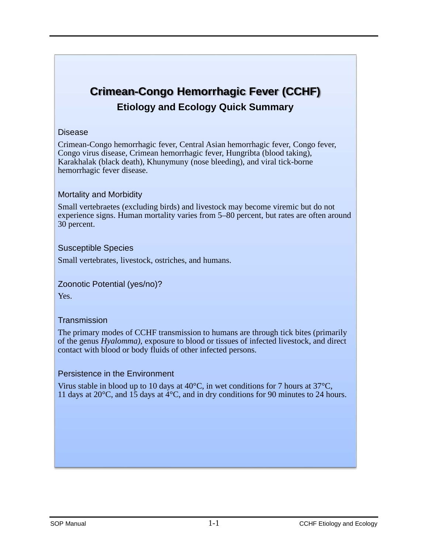## **Crimean-Congo Hemorrhagic Fever (CCHF) Etiology and Ecology Quick Summary**

### Disease

Crimean-Congo hemorrhagic fever, Central Asian hemorrhagic fever, Congo fever, Congo virus disease, Crimean hemorrhagic fever, Hungribta (blood taking), Karakhalak (black death), Khunymuny (nose bleeding), and viral tick-borne hemorrhagic fever disease.

### Mortality and Morbidity

Small vertebraetes (excluding birds) and livestock may become viremic but do not experience signs. Human mortality varies from 5–80 percent, but rates are often around 30 percent.

### Susceptible Species

Small vertebrates, livestock, ostriches, and humans.

### Zoonotic Potential (yes/no)?

Yes.

### **Transmission**

The primary modes of CCHF transmission to humans are through tick bites (primarily of the genus *Hyalomma)*, exposure to blood or tissues of infected livestock, and direct contact with blood or body fluids of other infected persons.

### Persistence in the Environment

Virus stable in blood up to 10 days at  $40^{\circ}$ C, in wet conditions for 7 hours at  $37^{\circ}$ C, 11 days at 20°C, and 15 days at 4°C, and in dry conditions for 90 minutes to 24 hours.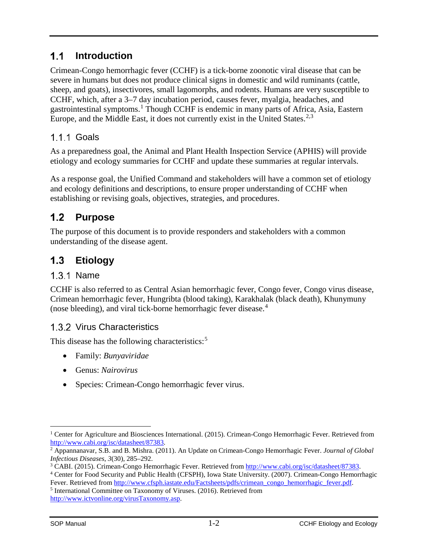#### $1.1$ **Introduction**

Crimean-Congo hemorrhagic fever (CCHF) is a tick-borne zoonotic viral disease that can be severe in humans but does not produce clinical signs in domestic and wild ruminants (cattle, sheep, and goats), insectivores, small lagomorphs, and rodents. Humans are very susceptible to CCHF, which, after a 3–7 day incubation period, causes fever, myalgia, headaches, and gastrointestinal symptoms.[1](#page-4-0) Though CCHF is endemic in many parts of Africa, Asia, Eastern Europe, and the Middle East, it does not currently exist in the United States.<sup>[2,](#page-4-1)[3](#page-4-2)</sup>

## 1.1.1 Goals

As a preparedness goal, the Animal and Plant Health Inspection Service (APHIS) will provide etiology and ecology summaries for CCHF and update these summaries at regular intervals.

As a response goal, the Unified Command and stakeholders will have a common set of etiology and ecology definitions and descriptions, to ensure proper understanding of CCHF when establishing or revising goals, objectives, strategies, and procedures.

#### $1.2<sub>2</sub>$ **Purpose**

The purpose of this document is to provide responders and stakeholders with a common understanding of the disease agent.

#### $1.3$ **Etiology**

## 1.3.1 Name

CCHF is also referred to as Central Asian hemorrhagic fever, Congo fever, Congo virus disease, Crimean hemorrhagic fever, Hungribta (blood taking), Karakhalak (black death), Khunymuny (nose bleeding), and viral tick-borne hemorrhagic fever disease. [4](#page-4-3)

## 1.3.2 Virus Characteristics

This disease has the following characteristics:<sup>[5](#page-4-4)</sup>

- Family: *Bunyaviridae*
- Genus: *Nairovirus*
- Species: Crimean-Congo hemorrhagic fever virus.

<span id="page-4-0"></span><sup>&</sup>lt;sup>1</sup> Center for Agriculture and Biosciences International. (2015). Crimean-Congo Hemorrhagic Fever. Retrieved from [http://www.cabi.org/isc/datasheet/87383.](http://www.cabi.org/isc/datasheet/87383)

<span id="page-4-1"></span><sup>2</sup> Appannanavar, S.B. and B. Mishra. (2011). An Update on Crimean-Congo Hemorrhagic Fever. *Journal of Global Infectious Diseases*, *3*(30), 285–292.

<span id="page-4-2"></span><sup>3</sup> CABI. (2015). Crimean-Congo Hemorrhagic Fever. Retrieved fro[m http://www.cabi.org/isc/datasheet/87383.](http://www.cabi.org/isc/datasheet/87383)

<span id="page-4-3"></span><sup>4</sup> Center for Food Security and Public Health (CFSPH), Iowa State University. (2007). Crimean-Congo Hemorrhagic Fever. Retrieved from [http://www.cfsph.iastate.edu/Factsheets/pdfs/crimean\\_congo\\_hemorrhagic\\_fever.pdf.](http://www.cfsph.iastate.edu/Factsheets/pdfs/crimean_congo_hemorrhagic_fever.pdf)

<span id="page-4-4"></span><sup>5</sup> International Committee on Taxonomy of Viruses. (2016). Retrieved from [http://www.ictvonline.org/virusTaxonomy.asp.](http://www.ictvonline.org/virusTaxonomy.asp)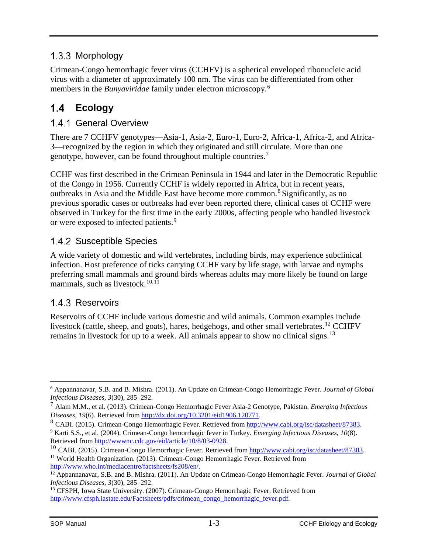## 1.3.3 Morphology

Crimean-Congo hemorrhagic fever virus (CCHFV) is a spherical enveloped ribonucleic acid virus with a diameter of approximately 100 nm. The virus can be differentiated from other members in the *Bunyaviridae* family under electron microscopy. [6](#page-5-0)

#### $1.4$ **Ecology**

## 1.4.1 General Overview

There are 7 CCHFV genotypes—Asia-1, Asia-2, Euro-1, Euro-2, Africa-1, Africa-2, and Africa-3—recognized by the region in which they originated and still circulate. More than one genotype, however, can be found throughout multiple countries. [7](#page-5-1)

CCHF was first described in the Crimean Peninsula in 1944 and later in the Democratic Republic of the Congo in 1956. Currently CCHF is widely reported in Africa, but in recent years, outbreaks in Asia and the Middle East have become more common.[8](#page-5-2) Significantly, as no previous sporadic cases or outbreaks had ever been reported there, clinical cases of CCHF were observed in Turkey for the first time in the early 2000s, affecting people who handled livestock or were exposed to infected patients.<sup>[9](#page-5-3)</sup>

## 1.4.2 Susceptible Species

A wide variety of domestic and wild vertebrates, including birds, may experience subclinical infection. Host preference of ticks carrying CCHF vary by life stage, with larvae and nymphs preferring small mammals and ground birds whereas adults may more likely be found on large mammals, such as livestock. $10,11$  $10,11$ 

## 1.4.3 Reservoirs

Reservoirs of CCHF include various domestic and wild animals. Common examples include livestock (cattle, sheep, and goats), hares, hedgehogs, and other small vertebrates.<sup>[12](#page-5-6)</sup> CCHFV remains in livestock for up to a week. All animals appear to show no clinical signs.<sup>[13](#page-5-7)</sup>

<span id="page-5-0"></span> <sup>6</sup> Appannanavar, S.B. and B. Mishra. (2011). An Update on Crimean-Congo Hemorrhagic Fever. *Journal of Global Infectious Diseases*, *3*(30), 285–292.

<span id="page-5-1"></span><sup>7</sup> Alam M.M., et al. (2013). Crimean-Congo Hemorrhagic Fever Asia-2 Genotype, Pakistan. *Emerging Infectious Diseases*, *19*(6). Retrieved from [http://dx.doi.org/10.3201/eid1906.120771.](http://dx.doi.org/10.3201/eid1906.120771)

<span id="page-5-2"></span><sup>8</sup> CABI. (2015). Crimean-Congo Hemorrhagic Fever. Retrieved from [http://www.cabi.org/isc/datasheet/87383.](http://www.cabi.org/isc/datasheet/87383)

<span id="page-5-3"></span><sup>9</sup> Karti S.S., et al. (2004). Crimean-Congo hemorrhagic fever in Turkey. *Emerging Infectious Diseases, 10*(8). Retrieved from [http://wwwnc.cdc.gov/eid/article/10/8/03-0928.](http://wwwnc.cdc.gov/eid/article/10/8/03-0928)

<span id="page-5-5"></span><span id="page-5-4"></span><sup>&</sup>lt;sup>10</sup> CABI. (2015). Crimean-Congo Hemorrhagic Fever. Retrieved from [http://www.cabi.org/isc/datasheet/87383.](http://www.cabi.org/isc/datasheet/87383) <sup>11</sup> World Health Organization. (2013). Crimean-Congo Hemorrhagic Fever. Retrieved from [http://www.who.int/mediacentre/factsheets/fs208/en/.](http://www.who.int/mediacentre/factsheets/fs208/en/)

<span id="page-5-6"></span><sup>12</sup> Appannanavar, S.B. and B. Mishra. (2011). An Update on Crimean-Congo Hemorrhagic Fever. *Journal of Global Infectious Diseases*, *3*(30), 285–292.

<span id="page-5-7"></span><sup>13</sup> CFSPH, Iowa State University. (2007). Crimean-Congo Hemorrhagic Fever. Retrieved from [http://www.cfsph.iastate.edu/Factsheets/pdfs/crimean\\_congo\\_hemorrhagic\\_fever.pdf.](http://www.cfsph.iastate.edu/Factsheets/pdfs/crimean_congo_hemorrhagic_fever.pdf)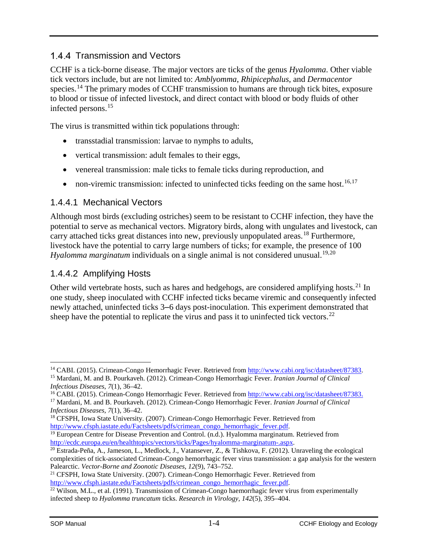### 1.4.4 Transmission and Vectors

CCHF is a tick-borne disease. The major vectors are ticks of the genus *Hyalomma*. Other viable tick vectors include, but are not limited to: *Amblyomma*, *Rhipicephalus*, and *Dermacentor* species.<sup>[14](#page-6-0)</sup> The primary modes of CCHF transmission to humans are through tick bites, exposure to blood or tissue of infected livestock, and direct contact with blood or body fluids of other infected persons.[15](#page-6-1)

The virus is transmitted within tick populations through:

- transstadial transmission: larvae to nymphs to adults,
- vertical transmission: adult females to their eggs,
- venereal transmission: male ticks to female ticks during reproduction, and
- non-viremic transmission: infected to uninfected ticks feeding on the same host.<sup>[16,](#page-6-2)[17](#page-6-3)</sup>

### 1.4.4.1 Mechanical Vectors

Although most birds (excluding ostriches) seem to be resistant to CCHF infection, they have the potential to serve as mechanical vectors. Migratory birds, along with ungulates and livestock, can carry attached ticks great distances into new, previously unpopulated areas.<sup>[18](#page-6-4)</sup> Furthermore, livestock have the potential to carry large numbers of ticks; for example, the presence of 100 Hyalomma marginatum individuals on a single animal is not considered unusual.<sup>[19](#page-6-5),[20](#page-6-6)</sup>

### 1.4.4.2 Amplifying Hosts

Other wild vertebrate hosts, such as hares and hedgehogs, are considered amplifying hosts.<sup>[21](#page-6-7)</sup> In one study, sheep inoculated with CCHF infected ticks became viremic and consequently infected newly attached, uninfected ticks 3–6 days post-inoculation. This experiment demonstrated that sheep have the potential to replicate the virus and pass it to uninfected tick vectors.<sup>[22](#page-6-8)</sup>

<span id="page-6-1"></span><span id="page-6-0"></span><sup>&</sup>lt;sup>14</sup> CABI. (2015). Crimean-Congo Hemorrhagic Fever. Retrieved from [http://www.cabi.org/isc/datasheet/87383.](http://www.cabi.org/isc/datasheet/87383) <sup>15</sup> Mardani, M. and B. Pourkaveh. (2012). Crimean-Congo Hemorrhagic Fever. *Iranian Journal of Clinical Infectious Diseases*, *7*(1), 36–42.

<span id="page-6-3"></span><span id="page-6-2"></span><sup>&</sup>lt;sup>16</sup> CABI. (2015). Crimean-Congo Hemorrhagic Fever. Retrieved from [http://www.cabi.org/isc/datasheet/87383.](http://www.cabi.org/isc/datasheet/87383) <sup>17</sup> Mardani, M. and B. Pourkaveh. (2012). Crimean-Congo Hemorrhagic Fever. *Iranian Journal of Clinical Infectious Diseases*, *7*(1), 36–42.

<span id="page-6-4"></span><sup>&</sup>lt;sup>18</sup> CFSPH, Iowa State University. (2007). Crimean-Congo Hemorrhagic Fever. Retrieved from [http://www.cfsph.iastate.edu/Factsheets/pdfs/crimean\\_congo\\_hemorrhagic\\_fever.pdf.](http://www.cfsph.iastate.edu/Factsheets/pdfs/crimean_congo_hemorrhagic_fever.pdf)

<span id="page-6-5"></span><sup>&</sup>lt;sup>19</sup> European Centre for Disease Prevention and Control. (n.d.). Hyalomma marginatum. Retrieved from [http://ecdc.europa.eu/en/healthtopics/vectors/ticks/Pages/hyalomma-marginatum-.aspx.](http://ecdc.europa.eu/en/healthtopics/vectors/ticks/Pages/hyalomma-marginatum-.aspx%23geo)

<span id="page-6-6"></span><sup>&</sup>lt;sup>20</sup> Estrada-Peña, A., Jameson, L., Medlock, J., Vatansever, Z., & Tishkova, F. (2012). Unraveling the ecological complexities of tick-associated Crimean-Congo hemorrhagic fever virus transmission: a gap analysis for the western Palearctic. *Vector-Borne and Zoonotic Diseases, 12*(9), 743–752.

<span id="page-6-7"></span><sup>21</sup> CFSPH, Iowa State University. (2007). Crimean-Congo Hemorrhagic Fever. Retrieved from [http://www.cfsph.iastate.edu/Factsheets/pdfs/crimean\\_congo\\_hemorrhagic\\_fever.pdf.](http://www.cfsph.iastate.edu/Factsheets/pdfs/crimean_congo_hemorrhagic_fever.pdf)

<span id="page-6-8"></span> $\frac{22}{22}$  Wilson, M.L., et al. (1991). Transmission of Crimean-Congo haemorrhagic fever virus from experimentally infected sheep to *Hyalomma truncatum* ticks. *Research in Virology, 142*(5), 395–404.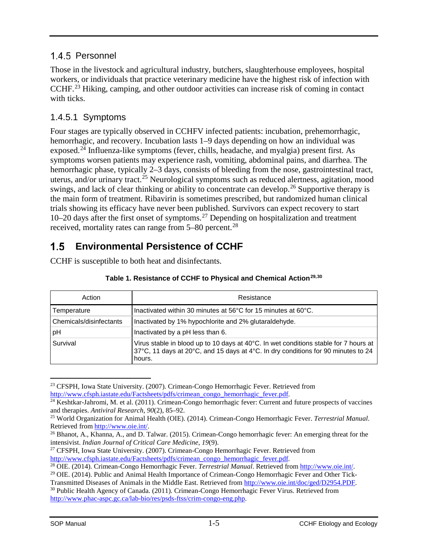### 1.4.5 Personnel

Those in the livestock and agricultural industry, butchers, slaughterhouse employees, hospital workers, or individuals that practice veterinary medicine have the highest risk of infection with CCHF.<sup>[23](#page-7-0)</sup> Hiking, camping, and other outdoor activities can increase risk of coming in contact with ticks.

### 1.4.5.1 Symptoms

Four stages are typically observed in CCHFV infected patients: incubation, prehemorrhagic, hemorrhagic, and recovery. Incubation lasts 1–9 days depending on how an individual was exposed.<sup>[24](#page-7-1)</sup> Influenza-like symptoms (fever, chills, headache, and myalgia) present first. As symptoms worsen patients may experience rash, vomiting, abdominal pains, and diarrhea. The hemorrhagic phase, typically 2–3 days, consists of bleeding from the nose, gastrointestinal tract, uterus, and/or urinary tract.<sup>[25](#page-7-2)</sup> Neurological symptoms such as reduced alertness, agitation, mood swings, and lack of clear thinking or ability to concentrate can develop.<sup>[26](#page-7-3)</sup> Supportive therapy is the main form of treatment. Ribavirin is sometimes prescribed, but randomized human clinical trials showing its efficacy have never been published. Survivors can expect recovery to start 10–20 days after the first onset of symptoms.[27](#page-7-4) Depending on hospitalization and treatment received, mortality rates can range from 5–80 percent.<sup>[28](#page-7-5)</sup>

#### $1.5$ **Environmental Persistence of CCHF**

CCHF is susceptible to both heat and disinfectants.

| Action                  | Resistance                                                                                                                                                                          |
|-------------------------|-------------------------------------------------------------------------------------------------------------------------------------------------------------------------------------|
| Temperature             | Inactivated within 30 minutes at 56°C for 15 minutes at 60°C.                                                                                                                       |
| Chemicals/disinfectants | Inactivated by 1% hypochlorite and 2% glutaraldehyde.                                                                                                                               |
| pH                      | Inactivated by a pH less than 6.                                                                                                                                                    |
| Survival                | Virus stable in blood up to 10 days at 40°C. In wet conditions stable for 7 hours at<br>37°C, 11 days at 20°C, and 15 days at 4°C. In dry conditions for 90 minutes to 24<br>hours. |

### **Table 1. Resistance of CCHF to Physical and Chemical Action[29,](#page-7-6)[30](#page-7-7)**

<span id="page-7-0"></span> <sup>23</sup> CFSPH, Iowa State University. (2007). Crimean-Congo Hemorrhagic Fever. Retrieved from [http://www.cfsph.iastate.edu/Factsheets/pdfs/crimean\\_congo\\_hemorrhagic\\_fever.pdf.](http://www.cfsph.iastate.edu/Factsheets/pdfs/crimean_congo_hemorrhagic_fever.pdf)

<span id="page-7-1"></span><sup>&</sup>lt;sup>24</sup> Keshtkar-Jahromi, M. et al. (2011). Crimean-Congo hemorrhagic fever: Current and future prospects of vaccines and therapies. *Antiviral Research*, *90*(2), 85–92.

<span id="page-7-2"></span><sup>25</sup> World Organization for Animal Health (OIE). (2014). Crimean-Congo Hemorrhagic Fever. *Terrestrial Manual*. Retrieved from [http://www.oie.int/.](http://www.oie.int/)

<span id="page-7-3"></span><sup>&</sup>lt;sup>26</sup> Bhanot, A., Khanna, A., and D. Talwar. (2015). Crimean-Congo hemorrhagic fever: An emerging threat for the intensivist. *Indian Journal of Critical Care Medicine*, *19*(9).

<span id="page-7-4"></span><sup>27</sup> CFSPH, Iowa State University. (2007). Crimean-Congo Hemorrhagic Fever. Retrieved from [http://www.cfsph.iastate.edu/Factsheets/pdfs/crimean\\_congo\\_hemorrhagic\\_fever.pdf.](http://www.cfsph.iastate.edu/Factsheets/pdfs/crimean_congo_hemorrhagic_fever.pdf)

<sup>28</sup> OIE. (2014). Crimean-Congo Hemorrhagic Fever. *Terrestrial Manual*. Retrieved from [http://www.oie.int/.](http://www.oie.int/)

<span id="page-7-6"></span><span id="page-7-5"></span><sup>&</sup>lt;sup>29</sup> OIE. (2014). Public and Animal Health Importance of Crimean-Congo Hemorrhagic Fever and Other Tick-Transmitted Diseases of Animals in the Middle East. Retrieved from [http://www.oie.int/doc/ged/D2954.PDF.](http://www.oie.int/doc/ged/D2954.PDF)

<span id="page-7-7"></span><sup>&</sup>lt;sup>30</sup> Public Health Agency of Canada. (2011). Crimean-Congo Hemorrhagic Fever Virus. Retrieved from [http://www.phac-aspc.gc.ca/lab-bio/res/psds-ftss/crim-congo-eng.php.](http://www.phac-aspc.gc.ca/lab-bio/res/psds-ftss/crim-congo-eng.php)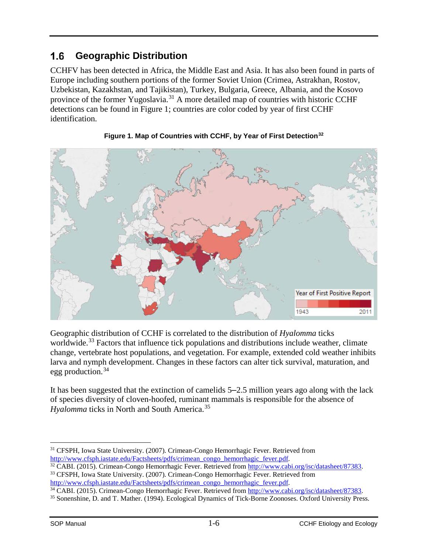#### $1.6$ **Geographic Distribution**

CCHFV has been detected in Africa, the Middle East and Asia. It has also been found in parts of Europe including southern portions of the former Soviet Union (Crimea, Astrakhan, Rostov, Uzbekistan, Kazakhstan, and Tajikistan), Turkey, Bulgaria, Greece, Albania, and the Kosovo province of the former Yugoslavia.<sup>[31](#page-8-0)</sup> A more detailed map of countries with historic CCHF detections can be found in Figure 1; countries are color coded by year of first CCHF identification.





Geographic distribution of CCHF is correlated to the distribution of *Hyalomma* ticks worldwide.<sup>[33](#page-8-2)</sup> Factors that influence tick populations and distributions include weather, climate change, vertebrate host populations, and vegetation. For example, extended cold weather inhibits larva and nymph development. Changes in these factors can alter tick survival, maturation, and egg production.[34](#page-8-3)

It has been suggested that the extinction of camelids 5‒2.5 million years ago along with the lack of species diversity of cloven-hoofed, ruminant mammals is responsible for the absence of *Hyalomma* ticks in North and South America.<sup>[35](#page-8-4)</sup>

<span id="page-8-0"></span> <sup>31</sup> CFSPH, Iowa State University. (2007). Crimean-Congo Hemorrhagic Fever. Retrieved from [http://www.cfsph.iastate.edu/Factsheets/pdfs/crimean\\_congo\\_hemorrhagic\\_fever.pdf.](http://www.cfsph.iastate.edu/Factsheets/pdfs/crimean_congo_hemorrhagic_fever.pdf)

<span id="page-8-1"></span><sup>32</sup> CABI. (2015). Crimean-Congo Hemorrhagic Fever. Retrieved from [http://www.cabi.org/isc/datasheet/87383.](http://www.cabi.org/isc/datasheet/87383)

<span id="page-8-2"></span><sup>33</sup> CFSPH, Iowa State University. (2007). Crimean-Congo Hemorrhagic Fever. Retrieved from [http://www.cfsph.iastate.edu/Factsheets/pdfs/crimean\\_congo\\_hemorrhagic\\_fever.pdf.](http://www.cfsph.iastate.edu/Factsheets/pdfs/crimean_congo_hemorrhagic_fever.pdf)

<span id="page-8-3"></span><sup>34</sup> CABI. (2015). Crimean-Congo Hemorrhagic Fever. Retrieved from [http://www.cabi.org/isc/datasheet/87383.](http://www.cabi.org/isc/datasheet/87383)

<span id="page-8-4"></span><sup>35</sup> Sonenshine, D. and T. Mather. (1994). Ecological Dynamics of Tick-Borne Zoonoses. Oxford University Press.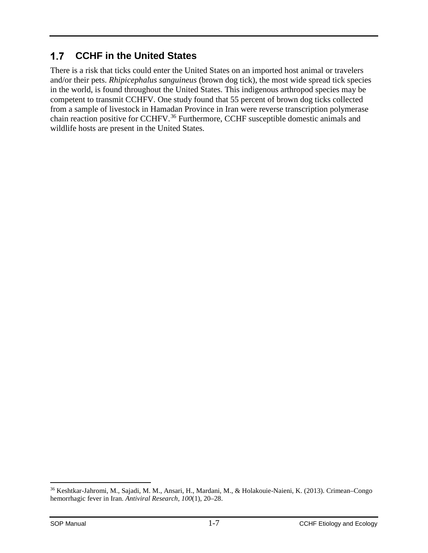#### **CCHF in the United States**  $1.7$

There is a risk that ticks could enter the United States on an imported host animal or travelers and/or their pets. *Rhipicephalus sanguineus* (brown dog tick), the most wide spread tick species in the world, is found throughout the United States. This indigenous arthropod species may be competent to transmit CCHFV. One study found that 55 percent of brown dog ticks collected from a sample of livestock in Hamadan Province in Iran were reverse transcription polymerase chain reaction positive for CCHFV.<sup>[36](#page-9-0)</sup> Furthermore, CCHF susceptible domestic animals and wildlife hosts are present in the United States.

<span id="page-9-0"></span> <sup>36</sup> Keshtkar-Jahromi, M., Sajadi, M. M., Ansari, H., Mardani, M., & Holakouie-Naieni, K. (2013). Crimean–Congo hemorrhagic fever in Iran. *Antiviral Research, 100*(1), 20–28.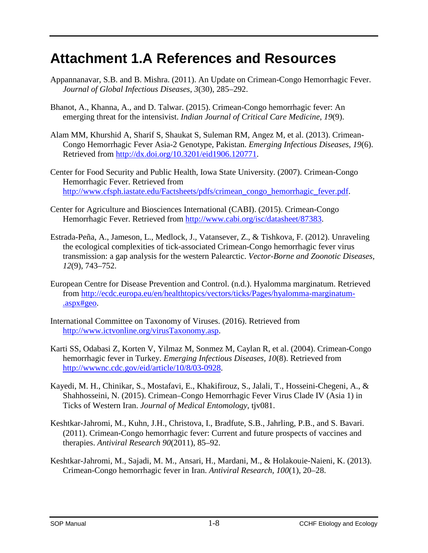# **Attachment 1.A References and Resources**

- Appannanavar, S.B. and B. Mishra. (2011). An Update on Crimean-Congo Hemorrhagic Fever. *Journal of Global Infectious Diseases*, *3*(30), 285–292.
- Bhanot, A., Khanna, A., and D. Talwar. (2015). Crimean-Congo hemorrhagic fever: An emerging threat for the intensivist. *Indian Journal of Critical Care Medicine*, *19*(9).
- Alam MM, Khurshid A, Sharif S, Shaukat S, Suleman RM, Angez M, et al. (2013). Crimean-Congo Hemorrhagic Fever Asia-2 Genotype, Pakistan. *Emerging Infectious Diseases, 19*(6). Retrieved from [http://dx.doi.org/10.3201/eid1906.120771.](http://dx.doi.org/10.3201/eid1906.120771)
- Center for Food Security and Public Health, Iowa State University. (2007). Crimean-Congo Hemorrhagic Fever. Retrieved from [http://www.cfsph.iastate.edu/Factsheets/pdfs/crimean\\_congo\\_hemorrhagic\\_fever.pdf.](http://www.cfsph.iastate.edu/Factsheets/pdfs/crimean_congo_hemorrhagic_fever.pdf)
- Center for Agriculture and Biosciences International (CABI). (2015). Crimean-Congo Hemorrhagic Fever. Retrieved from [http://www.cabi.org/isc/datasheet/87383.](http://www.cabi.org/isc/datasheet/87383)
- Estrada-Peña, A., Jameson, L., Medlock, J., Vatansever, Z., & Tishkova, F. (2012). Unraveling the ecological complexities of tick-associated Crimean-Congo hemorrhagic fever virus transmission: a gap analysis for the western Palearctic. *Vector-Borne and Zoonotic Diseases, 12*(9), 743–752.
- European Centre for Disease Prevention and Control. (n.d.). Hyalomma marginatum. Retrieved from [http://ecdc.europa.eu/en/healthtopics/vectors/ticks/Pages/hyalomma-marginatum-](http://ecdc.europa.eu/en/healthtopics/vectors/ticks/Pages/hyalomma-marginatum-.aspx%23geo) [.aspx#geo.](http://ecdc.europa.eu/en/healthtopics/vectors/ticks/Pages/hyalomma-marginatum-.aspx%23geo)
- International Committee on Taxonomy of Viruses. (2016). Retrieved from [http://www.ictvonline.org/virusTaxonomy.asp.](http://www.ictvonline.org/virusTaxonomy.asp)
- Karti SS, Odabasi Z, Korten V, Yilmaz M, Sonmez M, Caylan R, et al. (2004). Crimean-Congo hemorrhagic fever in Turkey. *Emerging Infectious Diseases, 10*(8). Retrieved from [http://wwwnc.cdc.gov/eid/article/10/8/03-0928.](http://wwwnc.cdc.gov/eid/article/10/8/03-0928)
- Kayedi, M. H., Chinikar, S., Mostafavi, E., Khakifirouz, S., Jalali, T., Hosseini-Chegeni, A., & Shahhosseini, N. (2015). Crimean–Congo Hemorrhagic Fever Virus Clade IV (Asia 1) in Ticks of Western Iran. *Journal of Medical Entomology*, tjv081.
- Keshtkar-Jahromi, M., Kuhn, J.H., Christova, I., Bradfute, S.B., Jahrling, P.B., and S. Bavari. (2011). Crimean-Congo hemorrhagic fever: Current and future prospects of vaccines and therapies. *Antiviral Research 90*(2011), 85–92.
- Keshtkar-Jahromi, M., Sajadi, M. M., Ansari, H., Mardani, M., & Holakouie-Naieni, K. (2013). Crimean-Congo hemorrhagic fever in Iran. *Antiviral Research, 100*(1), 20–28.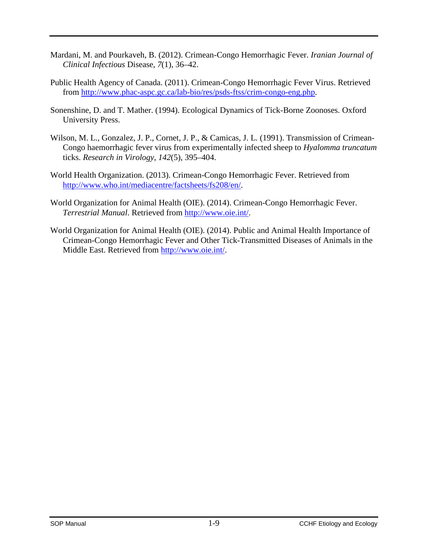- Mardani, M. and Pourkaveh, B. (2012). Crimean-Congo Hemorrhagic Fever. *Iranian Journal of Clinical Infectious* Disease, *7*(1), 36–42.
- Public Health Agency of Canada. (2011). Crimean-Congo Hemorrhagic Fever Virus. Retrieved from [http://www.phac-aspc.gc.ca/lab-bio/res/psds-ftss/crim-congo-eng.php.](http://www.phac-aspc.gc.ca/lab-bio/res/psds-ftss/crim-congo-eng.php)
- Sonenshine, D. and T. Mather. (1994). Ecological Dynamics of Tick-Borne Zoonoses. Oxford University Press.
- Wilson, M. L., Gonzalez, J. P., Cornet, J. P., & Camicas, J. L. (1991). Transmission of Crimean-Congo haemorrhagic fever virus from experimentally infected sheep to *Hyalomma truncatum* ticks. *Research in Virology, 142*(5), 395–404.
- World Health Organization. (2013). Crimean-Congo Hemorrhagic Fever. Retrieved from [http://www.who.int/mediacentre/factsheets/fs208/en/.](http://www.who.int/mediacentre/factsheets/fs208/en/)
- World Organization for Animal Health (OIE). (2014). Crimean-Congo Hemorrhagic Fever. *Terrestrial Manual*. Retrieved from [http://www.oie.int/.](http://www.oie.int/)
- World Organization for Animal Health (OIE). (2014). Public and Animal Health Importance of Crimean-Congo Hemorrhagic Fever and Other Tick-Transmitted Diseases of Animals in the Middle East. Retrieved from [http://www.oie.int/.](http://www.oie.int/)